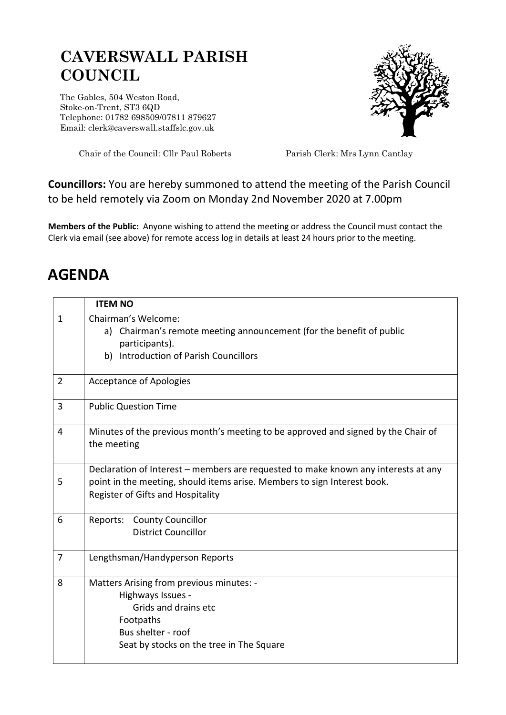## **CAVERSWALL PARISH COUNCIL**

The Gables, 504 Weston Road, Stoke-on-Trent, ST3 6QD Telephone: 01782 698509/07811 879627 Email: clerk@caverswall.staffslc.gov.uk



Chair of the Council: Cllr Paul Roberts Parish Clerk: Mrs Lynn Cantlay

## **Councillors:** You are hereby summoned to attend the meeting of the Parish Council to be held remotely via Zoom on Monday 2nd November 2020 at 7.00pm

**Members of the Public:** Anyone wishing to attend the meeting or address the Council must contact the Clerk via email (see above) for remote access log in details at least 24 hours prior to the meeting.

## **AGENDA**

|                | <b>ITEM NO</b>                                                                                                                                                                                      |
|----------------|-----------------------------------------------------------------------------------------------------------------------------------------------------------------------------------------------------|
| $\mathbf{1}$   | Chairman's Welcome:<br>Chairman's remote meeting announcement (for the benefit of public<br>a)<br>participants).<br><b>Introduction of Parish Councillors</b><br>b)                                 |
| $\overline{2}$ | <b>Acceptance of Apologies</b>                                                                                                                                                                      |
| 3              | <b>Public Question Time</b>                                                                                                                                                                         |
| 4              | Minutes of the previous month's meeting to be approved and signed by the Chair of<br>the meeting                                                                                                    |
| 5              | Declaration of Interest - members are requested to make known any interests at any<br>point in the meeting, should items arise. Members to sign Interest book.<br>Register of Gifts and Hospitality |
| 6              | <b>County Councillor</b><br>Reports:<br><b>District Councillor</b>                                                                                                                                  |
| 7              | Lengthsman/Handyperson Reports                                                                                                                                                                      |
| 8              | Matters Arising from previous minutes: -<br>Highways Issues -<br>Grids and drains etc<br>Footpaths<br>Bus shelter - roof<br>Seat by stocks on the tree in The Square                                |